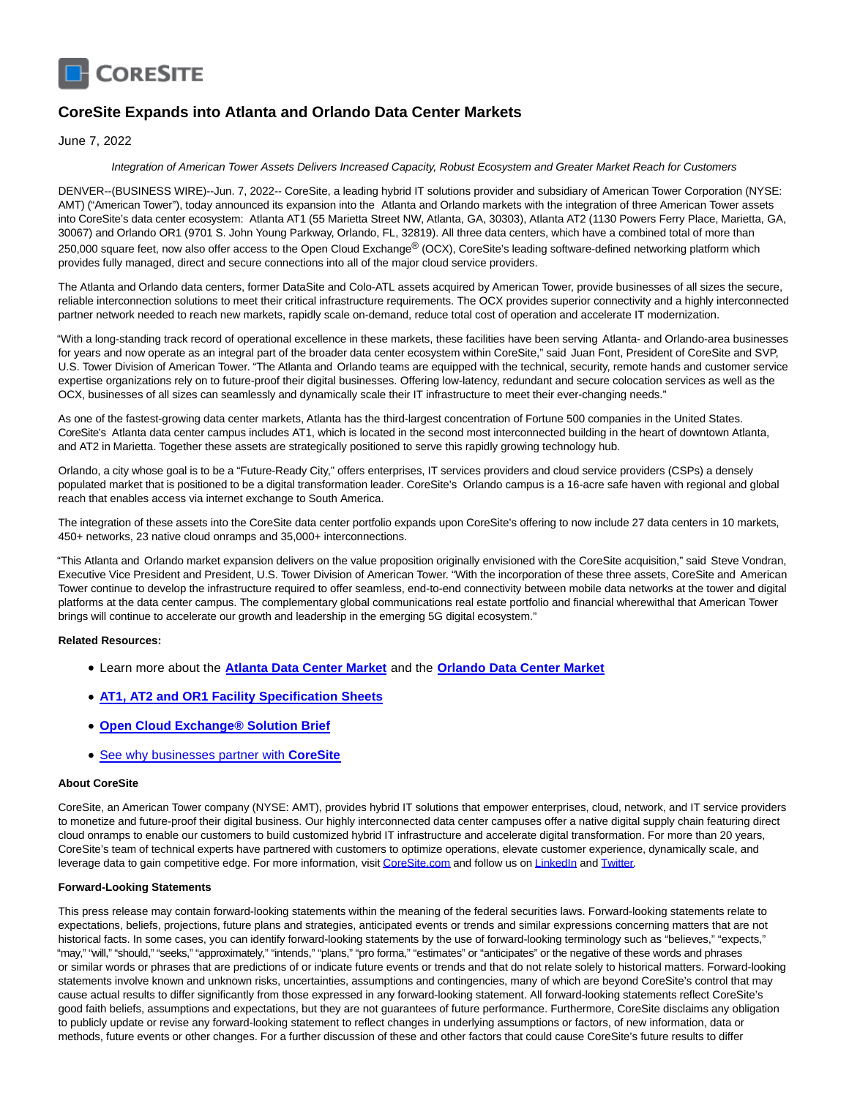

# **CoreSite Expands into Atlanta and Orlando Data Center Markets**

June 7, 2022

#### Integration of American Tower Assets Delivers Increased Capacity, Robust Ecosystem and Greater Market Reach for Customers

DENVER--(BUSINESS WIRE)--Jun. 7, 2022-- CoreSite, a leading hybrid IT solutions provider and subsidiary of American Tower Corporation (NYSE: AMT) ("American Tower"), today announced its expansion into the Atlanta and Orlando markets with the integration of three American Tower assets into CoreSite's data center ecosystem: Atlanta AT1 (55 Marietta Street NW, Atlanta, GA, 30303), Atlanta AT2 (1130 Powers Ferry Place, Marietta, GA, 30067) and Orlando OR1 (9701 S. John Young Parkway, Orlando, FL, 32819). All three data centers, which have a combined total of more than 250,000 square feet, now also offer access to the Open Cloud Exchange® (OCX), CoreSite's leading software-defined networking platform which provides fully managed, direct and secure connections into all of the major cloud service providers.

The Atlanta and Orlando data centers, former DataSite and Colo-ATL assets acquired by American Tower, provide businesses of all sizes the secure, reliable interconnection solutions to meet their critical infrastructure requirements. The OCX provides superior connectivity and a highly interconnected partner network needed to reach new markets, rapidly scale on-demand, reduce total cost of operation and accelerate IT modernization.

"With a long-standing track record of operational excellence in these markets, these facilities have been serving Atlanta- and Orlando-area businesses for years and now operate as an integral part of the broader data center ecosystem within CoreSite," said Juan Font, President of CoreSite and SVP, U.S. Tower Division of American Tower. "The Atlanta and Orlando teams are equipped with the technical, security, remote hands and customer service expertise organizations rely on to future-proof their digital businesses. Offering low-latency, redundant and secure colocation services as well as the OCX, businesses of all sizes can seamlessly and dynamically scale their IT infrastructure to meet their ever-changing needs."

As one of the fastest-growing data center markets, Atlanta has the third-largest concentration of Fortune 500 companies in the United States. CoreSite's Atlanta data center campus includes AT1, which is located in the second most interconnected building in the heart of downtown Atlanta, and AT2 in Marietta. Together these assets are strategically positioned to serve this rapidly growing technology hub.

Orlando, a city whose goal is to be a "Future-Ready City," offers enterprises, IT services providers and cloud service providers (CSPs) a densely populated market that is positioned to be a digital transformation leader. CoreSite's Orlando campus is a 16-acre safe haven with regional and global reach that enables access via internet exchange to South America.

The integration of these assets into the CoreSite data center portfolio expands upon CoreSite's offering to now include 27 data centers in 10 markets, 450+ networks, 23 native cloud onramps and 35,000+ interconnections.

"This Atlanta and Orlando market expansion delivers on the value proposition originally envisioned with the CoreSite acquisition," said Steve Vondran, Executive Vice President and President, U.S. Tower Division of American Tower. "With the incorporation of these three assets, CoreSite and American Tower continue to develop the infrastructure required to offer seamless, end-to-end connectivity between mobile data networks at the tower and digital platforms at the data center campus. The complementary global communications real estate portfolio and financial wherewithal that American Tower brings will continue to accelerate our growth and leadership in the emerging 5G digital ecosystem."

### **Related Resources:**

- Learn more about the **[Atlanta Data Center Market](https://cts.businesswire.com/ct/CT?id=smartlink&url=https%3A%2F%2Fwww.coresite.com%2Fdata-center-locations%2Fatlanta&esheet=52740969&newsitemid=20220607005180&lan=en-US&anchor=Atlanta+Data+Center+Market&index=1&md5=ade6643aafd81e8a74800702d58e24b6)** and the **[Orlando Data Center Market](https://cts.businesswire.com/ct/CT?id=smartlink&url=https%3A%2F%2Fwww.coresite.com%2Fdata-center-locations%2Forlando&esheet=52740969&newsitemid=20220607005180&lan=en-US&anchor=Orlando+Data+Center+Market&index=2&md5=4e55145ea0f7f741255b89e333d54a3e)**
- **[AT1, AT2 and OR1 Facility Specification Sheets](https://cts.businesswire.com/ct/CT?id=smartlink&url=https%3A%2F%2Fwww.coresite.com%2Fresource-category%2Fmarket-facility-brochures&esheet=52740969&newsitemid=20220607005180&lan=en-US&anchor=AT1%2C+AT2+and+OR1+Facility+Specification+Sheets&index=3&md5=8e0649d596f56e02d70ff960d0beabc0)**
- **[Open Cloud Exchange® Solution Brief](https://cts.businesswire.com/ct/CT?id=smartlink&url=https%3A%2F%2Fassets.website-files.com%2F5d95bce2cfbd82ab2ca712a8%2F6262aff0b5ca88b325fbbe6e_CoreSite_OpenCloudExchange_SolutionBrief_2022.pdf&esheet=52740969&newsitemid=20220607005180&lan=en-US&anchor=Open+Cloud+Exchange%26%23174%3B+Solution+Brief&index=4&md5=d3d9ec1c466101113c4cd7763098b623)**
- [See why businesses partner with](https://cts.businesswire.com/ct/CT?id=smartlink&url=https%3A%2F%2Fassets.website-files.com%2F5d95bce2cfbd82ab2ca712a8%2F62978f81b9b1825d8c77a3e8_CoreSite_SO_WhyCoreSite_06012022.pdf&esheet=52740969&newsitemid=20220607005180&lan=en-US&anchor=See+why+businesses+partner+with+CoreSite&index=5&md5=fcf37264d80f3846c54ed6a659ce44a0) **CoreSite**

### **About CoreSite**

CoreSite, an American Tower company (NYSE: AMT), provides hybrid IT solutions that empower enterprises, cloud, network, and IT service providers to monetize and future-proof their digital business. Our highly interconnected data center campuses offer a native digital supply chain featuring direct cloud onramps to enable our customers to build customized hybrid IT infrastructure and accelerate digital transformation. For more than 20 years, CoreSite's team of technical experts have partnered with customers to optimize operations, elevate customer experience, dynamically scale, and leverage data to gain competitive edge. For more information, visi[t CoreSite.com a](https://cts.businesswire.com/ct/CT?id=smartlink&url=http%3A%2F%2Fwww.coresite.com%2F&esheet=52740969&newsitemid=20220607005180&lan=en-US&anchor=CoreSite.com&index=6&md5=c4996d021ee51b7025fb319f3c5ce861)nd follow us o[n LinkedIn a](https://cts.businesswire.com/ct/CT?id=smartlink&url=http%3A%2F%2Fwww.linkedin.com%2Fcompany%2Fcoresite&esheet=52740969&newsitemid=20220607005180&lan=en-US&anchor=LinkedIn&index=7&md5=6d894a954bff26e47b05fa1132418378)nd [Twitter.](https://cts.businesswire.com/ct/CT?id=smartlink&url=https%3A%2F%2Ftwitter.com%2Fcoresite&esheet=52740969&newsitemid=20220607005180&lan=en-US&anchor=Twitter&index=8&md5=0506ad9907029cb7b42929e1d9ee8cc4)

## **Forward-Looking Statements**

This press release may contain forward-looking statements within the meaning of the federal securities laws. Forward-looking statements relate to expectations, beliefs, projections, future plans and strategies, anticipated events or trends and similar expressions concerning matters that are not historical facts. In some cases, you can identify forward-looking statements by the use of forward-looking terminology such as "believes," "expects," "may," "will," "should," "seeks," "approximately," "intends," "plans," "pro forma," "estimates" or "anticipates" or the negative of these words and phrases or similar words or phrases that are predictions of or indicate future events or trends and that do not relate solely to historical matters. Forward-looking statements involve known and unknown risks, uncertainties, assumptions and contingencies, many of which are beyond CoreSite's control that may cause actual results to differ significantly from those expressed in any forward-looking statement. All forward-looking statements reflect CoreSite's good faith beliefs, assumptions and expectations, but they are not guarantees of future performance. Furthermore, CoreSite disclaims any obligation to publicly update or revise any forward-looking statement to reflect changes in underlying assumptions or factors, of new information, data or methods, future events or other changes. For a further discussion of these and other factors that could cause CoreSite's future results to differ